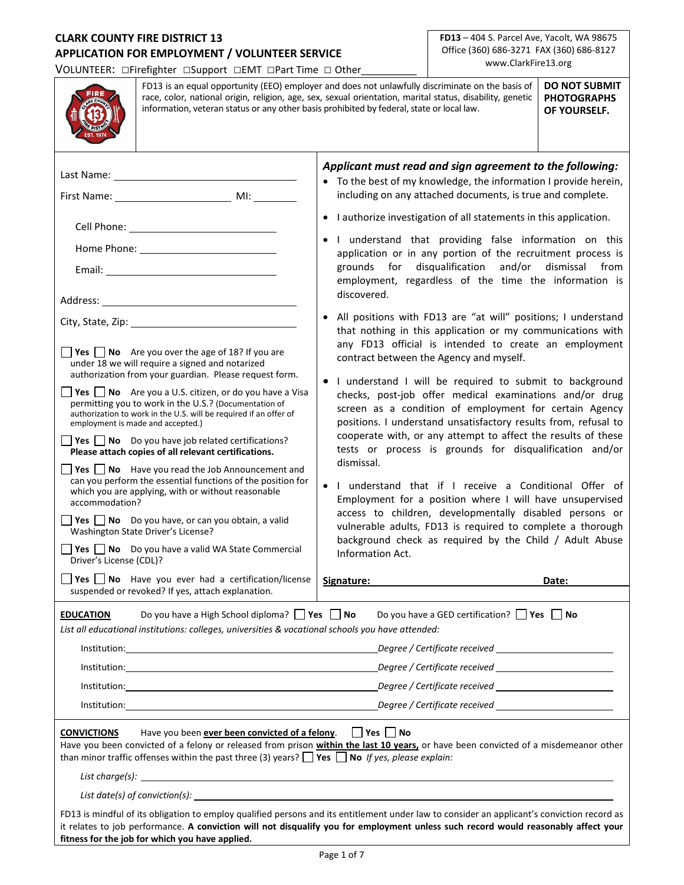## **CLARK COUNTY FIRE DISTRICT 13 APPLICATION FOR EMPLOYMENT / VOLUNTEER SERVICE**

VOLUNTEER: □Firefighter □Support □EMT □Part Time □ Other\_\_\_\_\_\_\_\_\_\_

**FD13** – 404 S. Parcel Ave, Yacolt, WA 98675 Office (360) 686-3271 FAX (360) 686-8127 www.ClarkFire13.org

|                                                                                                                                                                                                                                                                                                                                                                                                                                                                                                                                                                                                                                                                                                                                                                                                                                                                                                                                                                                                                         | <b>DO NOT SUBMIT</b><br>FD13 is an equal opportunity (EEO) employer and does not unlawfully discriminate on the basis of<br>race, color, national origin, religion, age, sex, sexual orientation, marital status, disability, genetic<br><b>PHOTOGRAPHS</b><br>information, veteran status or any other basis prohibited by federal, state or local law.<br>OF YOURSELF.                                                                                                                                                                                                                                                                                                                         |  |                                                                                                                                                                                                                                                                                                                                                                                                                                                                                                                                                                                                                                                                                                                                                                                                                                                                                                                                                                                                                                                                                                                                                                                                                                                                                                                                                                                                                                                                                                  |                                                                                                                  |       |
|-------------------------------------------------------------------------------------------------------------------------------------------------------------------------------------------------------------------------------------------------------------------------------------------------------------------------------------------------------------------------------------------------------------------------------------------------------------------------------------------------------------------------------------------------------------------------------------------------------------------------------------------------------------------------------------------------------------------------------------------------------------------------------------------------------------------------------------------------------------------------------------------------------------------------------------------------------------------------------------------------------------------------|--------------------------------------------------------------------------------------------------------------------------------------------------------------------------------------------------------------------------------------------------------------------------------------------------------------------------------------------------------------------------------------------------------------------------------------------------------------------------------------------------------------------------------------------------------------------------------------------------------------------------------------------------------------------------------------------------|--|--------------------------------------------------------------------------------------------------------------------------------------------------------------------------------------------------------------------------------------------------------------------------------------------------------------------------------------------------------------------------------------------------------------------------------------------------------------------------------------------------------------------------------------------------------------------------------------------------------------------------------------------------------------------------------------------------------------------------------------------------------------------------------------------------------------------------------------------------------------------------------------------------------------------------------------------------------------------------------------------------------------------------------------------------------------------------------------------------------------------------------------------------------------------------------------------------------------------------------------------------------------------------------------------------------------------------------------------------------------------------------------------------------------------------------------------------------------------------------------------------|------------------------------------------------------------------------------------------------------------------|-------|
| Last Name: _<br>City, State, Zip: 1988)<br><b>Yes</b> $\Box$ <b>No</b> Are you over the age of 18? If you are<br>under 18 we will require a signed and notarized<br>authorization from your guardian. Please request form.<br><b>Yes</b> $\Box$ <b>No</b> Are you a U.S. citizen, or do you have a Visa<br>permitting you to work in the U.S.? (Documentation of<br>authorization to work in the U.S. will be required if an offer of<br>employment is made and accepted.)<br><b>Yes</b> $\Box$ <b>No</b> Do you have job related certifications?<br>Please attach copies of all relevant certifications.<br><b>Yes</b> $\Box$ <b>No</b> Have you read the Job Announcement and<br>can you perform the essential functions of the position for<br>which you are applying, with or without reasonable<br>accommodation?<br>$\Box$ Yes $\Box$ No Do you have, or can you obtain, a valid<br>Washington State Driver's License?<br>$\Box$ Yes $\Box$ No Do you have a valid WA State Commercial<br>Driver's License (CDL)? |                                                                                                                                                                                                                                                                                                                                                                                                                                                                                                                                                                                                                                                                                                  |  | Applicant must read and sign agreement to the following:<br>• To the best of my knowledge, the information I provide herein,<br>including on any attached documents, is true and complete.<br>• I authorize investigation of all statements in this application.<br>. I understand that providing false information on this<br>application or in any portion of the recruitment process is<br>disqualification<br>grounds for<br>and/or<br>dismissal from<br>employment, regardless of the time the information is<br>discovered.<br>• All positions with FD13 are "at will" positions; I understand<br>that nothing in this application or my communications with<br>any FD13 official is intended to create an employment<br>contract between the Agency and myself.<br>I understand I will be required to submit to background<br>checks, post-job offer medical examinations and/or drug<br>screen as a condition of employment for certain Agency<br>positions. I understand unsatisfactory results from, refusal to<br>cooperate with, or any attempt to affect the results of these<br>tests or process is grounds for disqualification and/or<br>dismissal.<br>I understand that if I receive a Conditional Offer of<br>Employment for a position where I will have unsupervised<br>access to children, developmentally disabled persons or<br>vulnerable adults, FD13 is required to complete a thorough<br>background check as required by the Child / Adult Abuse<br>Information Act. |                                                                                                                  |       |
|                                                                                                                                                                                                                                                                                                                                                                                                                                                                                                                                                                                                                                                                                                                                                                                                                                                                                                                                                                                                                         | $\Box$ Yes $\Box$ No Have you ever had a certification/license<br>suspended or revoked? If yes, attach explanation.                                                                                                                                                                                                                                                                                                                                                                                                                                                                                                                                                                              |  | Signature:                                                                                                                                                                                                                                                                                                                                                                                                                                                                                                                                                                                                                                                                                                                                                                                                                                                                                                                                                                                                                                                                                                                                                                                                                                                                                                                                                                                                                                                                                       |                                                                                                                  | Date: |
| <b>EDUCATION</b><br><b>CONVICTIONS</b>                                                                                                                                                                                                                                                                                                                                                                                                                                                                                                                                                                                                                                                                                                                                                                                                                                                                                                                                                                                  | Do you have a High School diploma? Ves a No<br>List all educational institutions: colleges, universities & vocational schools you have attended:<br>Institution: www.analysis.com/www.analysis.com/www.analysis.com/www.analysis.com/<br>Institution: <u>www.common.common.common.common.com</u><br>Institution: <u>www.community.community.community.com</u><br>Have you been <b>ever been convicted of a felony</b> . $\Box$ Yes $\Box$ No<br>Have you been convicted of a felony or released from prison within the last 10 years, or have been convicted of a misdemeanor other<br>than minor traffic offenses within the past three (3) years? $\Box$ Yes $\Box$ No If yes, please explain: |  |                                                                                                                                                                                                                                                                                                                                                                                                                                                                                                                                                                                                                                                                                                                                                                                                                                                                                                                                                                                                                                                                                                                                                                                                                                                                                                                                                                                                                                                                                                  | Do you have a GED certification? $\Box$ Yes $\Box$ No<br>Degree / Certificate received _________________________ |       |
|                                                                                                                                                                                                                                                                                                                                                                                                                                                                                                                                                                                                                                                                                                                                                                                                                                                                                                                                                                                                                         | List date(s) of conviction(s): $\qquad \qquad$                                                                                                                                                                                                                                                                                                                                                                                                                                                                                                                                                                                                                                                   |  |                                                                                                                                                                                                                                                                                                                                                                                                                                                                                                                                                                                                                                                                                                                                                                                                                                                                                                                                                                                                                                                                                                                                                                                                                                                                                                                                                                                                                                                                                                  |                                                                                                                  |       |
|                                                                                                                                                                                                                                                                                                                                                                                                                                                                                                                                                                                                                                                                                                                                                                                                                                                                                                                                                                                                                         | FD13 is mindful of its obligation to employ qualified persons and its entitlement under law to consider an applicant's conviction record as<br>it relates to job performance. A conviction will not disqualify you for employment unless such record would reasonably affect your<br>fitness for the job for which you have applied.                                                                                                                                                                                                                                                                                                                                                             |  |                                                                                                                                                                                                                                                                                                                                                                                                                                                                                                                                                                                                                                                                                                                                                                                                                                                                                                                                                                                                                                                                                                                                                                                                                                                                                                                                                                                                                                                                                                  |                                                                                                                  |       |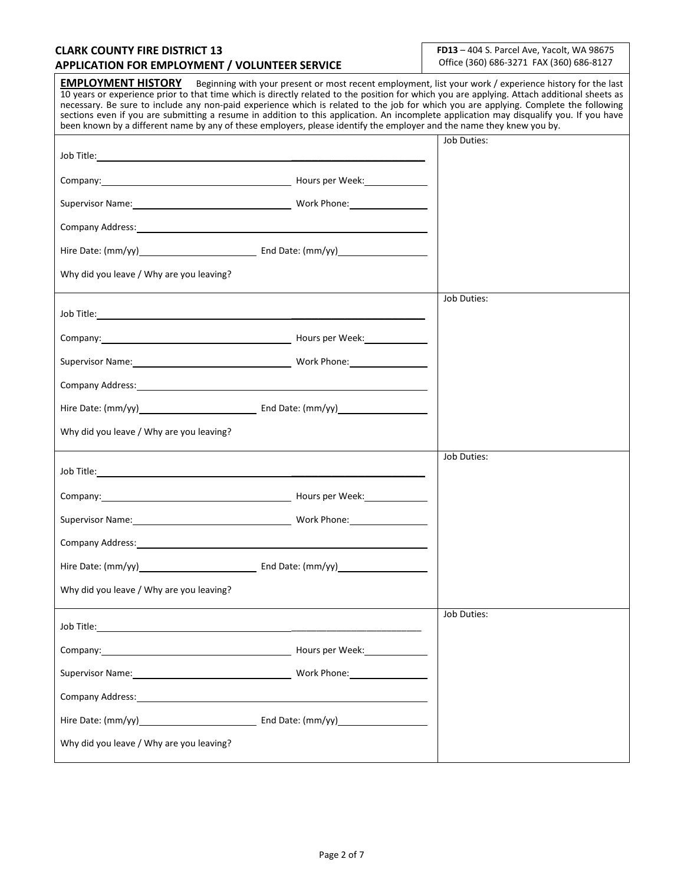### **CLARK COUNTY FIRE DISTRICT 13 APPLICATION FOR EMPLOYMENT / VOLUNTEER SERVICE**

**FD13** – 404 S. Parcel Ave, Yacolt, WA 98675 Office (360) 686-3271 FAX (360) 686-8127

**EMPLOYMENT HISTORY** Beginning with your present or most recent employment, list your work / experience history for the last 10 years or experience prior to that time which is directly related to the position for which you are applying. Attach additional sheets as necessary. Be sure to include any non-paid experience which is related to the job for which you are applying. Complete the following sections even if you are submitting a resume in addition to this application. An incomplete application may disqualify you. If you have been known by a different name by any of these employers, please identify the employer and the name they knew you by. Job Title: \_\_\_\_\_\_\_\_\_\_\_\_\_\_\_\_\_\_\_\_ Company: Company: Company: Company: Company: Company: Company: Company: Company: Company: Company: Company: Company: Company: Company: Company: Company: Company: Company: Company: Company: Company: Company: Company: Compan Supervisor Name: Name: Name and Name and Name and Name and Name and Name and Name and Name and Name and Name and N Company Address: Hire Date: (mm/yy) End Date: (mm/yy) Why did you leave / Why are you leaving? Job Duties: Job Title: \_\_\_\_\_\_\_\_\_\_\_\_\_\_\_\_\_\_\_\_ Company: Hours per Week: Supervisor Name: Manual Communication of Manual Communication of Work Phone: Manual Communication of Manual Co Company Address: Hire Date: (mm/yy) End Date: (mm/yy) Why did you leave / Why are you leaving? Job Duties: Job Title: Company: Company: Company: Company: Executive Company: Executive Company: Executive Company: Company: Company: Company: Company: Company: Company: Company: Company: Company: Company: Company: Company: Company: Company: Com Supervisor Name: Work Phone: Company Address: Hire Date: (mm/yy) End Date: (mm/yy) Why did you leave / Why are you leaving? Job Duties: Job Title: \_\_\_\_\_\_\_\_\_\_\_\_\_\_\_\_\_\_\_\_\_\_\_\_\_\_ Company: Hours per Week: Supervisor Name: Name: North Phone: North Phone: North Phone: Name of Name of Name of Name of Name of Name of N Company Address: Hire Date: (mm/yy) End Date: (mm/yy) Why did you leave / Why are you leaving? Job Duties: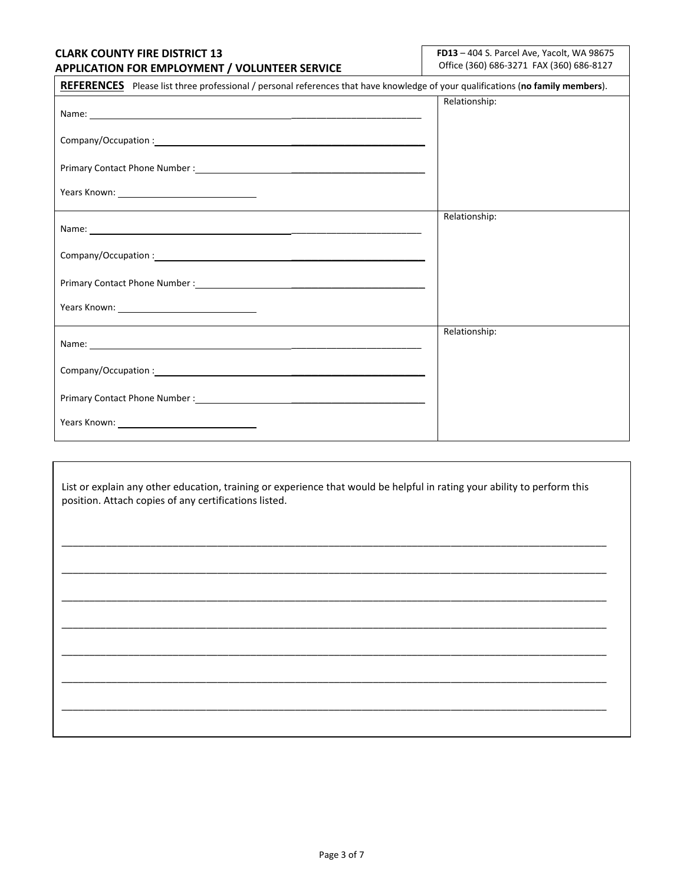### **CLARK COUNTY FIRE DISTRICT 13 APPLICATION FOR EMPLOYMENT / VOLUNTEER SERVICE**

**FD13** – 404 S. Parcel Ave, Yacolt, WA 98675 Office (360) 686-3271 FAX (360) 686-8127

| REFERENCES Please list three professional / personal references that have knowledge of your qualifications (no family members).                                                                                                      |               |
|--------------------------------------------------------------------------------------------------------------------------------------------------------------------------------------------------------------------------------------|---------------|
| Name: <u>example and the second contract of the second contract of the second contract of the second contract of the second contract of the second contract of the second contract of the second contract of the second contract</u> | Relationship: |
|                                                                                                                                                                                                                                      |               |
| Primary Contact Phone Number : National Phone State of the Manual Assembly Primary Contact Phone Number :                                                                                                                            |               |
|                                                                                                                                                                                                                                      |               |
|                                                                                                                                                                                                                                      | Relationship: |
|                                                                                                                                                                                                                                      |               |
|                                                                                                                                                                                                                                      |               |
| Years Known: Vears And Years And Years And Years And Years Allen And Year And Year                                                                                                                                                   |               |
|                                                                                                                                                                                                                                      | Relationship: |
|                                                                                                                                                                                                                                      |               |
|                                                                                                                                                                                                                                      |               |
|                                                                                                                                                                                                                                      |               |

List or explain any other education, training or experience that would be helpful in rating your ability to perform this position. Attach copies of any certifications listed.

\_\_\_\_\_\_\_\_\_\_\_\_\_\_\_\_\_\_\_\_\_\_\_\_\_\_\_\_\_\_\_\_\_\_\_\_\_\_\_\_\_\_\_\_\_\_\_\_\_\_\_\_\_\_\_\_\_\_\_\_\_\_\_\_\_\_\_\_\_\_\_\_\_\_\_\_\_\_\_\_\_\_\_\_\_\_\_\_\_\_\_\_\_\_\_\_\_\_

\_\_\_\_\_\_\_\_\_\_\_\_\_\_\_\_\_\_\_\_\_\_\_\_\_\_\_\_\_\_\_\_\_\_\_\_\_\_\_\_\_\_\_\_\_\_\_\_\_\_\_\_\_\_\_\_\_\_\_\_\_\_\_\_\_\_\_\_\_\_\_\_\_\_\_\_\_\_\_\_\_\_\_\_\_\_\_\_\_\_\_\_\_\_\_\_\_\_

\_\_\_\_\_\_\_\_\_\_\_\_\_\_\_\_\_\_\_\_\_\_\_\_\_\_\_\_\_\_\_\_\_\_\_\_\_\_\_\_\_\_\_\_\_\_\_\_\_\_\_\_\_\_\_\_\_\_\_\_\_\_\_\_\_\_\_\_\_\_\_\_\_\_\_\_\_\_\_\_\_\_\_\_\_\_\_\_\_\_\_\_\_\_\_\_\_\_

\_\_\_\_\_\_\_\_\_\_\_\_\_\_\_\_\_\_\_\_\_\_\_\_\_\_\_\_\_\_\_\_\_\_\_\_\_\_\_\_\_\_\_\_\_\_\_\_\_\_\_\_\_\_\_\_\_\_\_\_\_\_\_\_\_\_\_\_\_\_\_\_\_\_\_\_\_\_\_\_\_\_\_\_\_\_\_\_\_\_\_\_\_\_\_\_\_\_

\_\_\_\_\_\_\_\_\_\_\_\_\_\_\_\_\_\_\_\_\_\_\_\_\_\_\_\_\_\_\_\_\_\_\_\_\_\_\_\_\_\_\_\_\_\_\_\_\_\_\_\_\_\_\_\_\_\_\_\_\_\_\_\_\_\_\_\_\_\_\_\_\_\_\_\_\_\_\_\_\_\_\_\_\_\_\_\_\_\_\_\_\_\_\_\_\_\_

\_\_\_\_\_\_\_\_\_\_\_\_\_\_\_\_\_\_\_\_\_\_\_\_\_\_\_\_\_\_\_\_\_\_\_\_\_\_\_\_\_\_\_\_\_\_\_\_\_\_\_\_\_\_\_\_\_\_\_\_\_\_\_\_\_\_\_\_\_\_\_\_\_\_\_\_\_\_\_\_\_\_\_\_\_\_\_\_\_\_\_\_\_\_\_\_\_\_

\_\_\_\_\_\_\_\_\_\_\_\_\_\_\_\_\_\_\_\_\_\_\_\_\_\_\_\_\_\_\_\_\_\_\_\_\_\_\_\_\_\_\_\_\_\_\_\_\_\_\_\_\_\_\_\_\_\_\_\_\_\_\_\_\_\_\_\_\_\_\_\_\_\_\_\_\_\_\_\_\_\_\_\_\_\_\_\_\_\_\_\_\_\_\_\_\_\_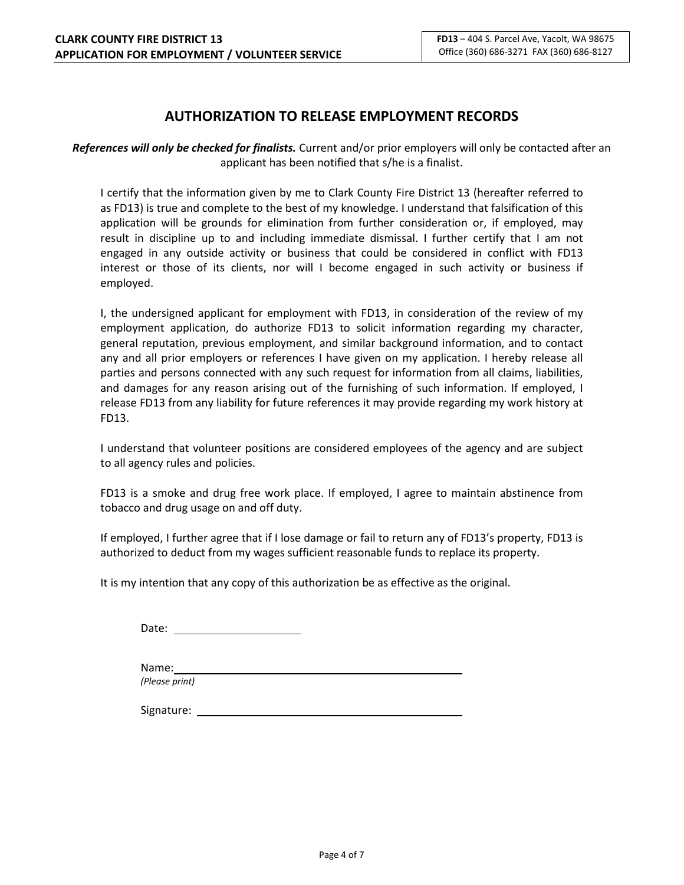# **AUTHORIZATION TO RELEASE EMPLOYMENT RECORDS**

*References will only be checked for finalists.* Current and/or prior employers will only be contacted after an applicant has been notified that s/he is a finalist.

I certify that the information given by me to Clark County Fire District 13 (hereafter referred to as FD13) is true and complete to the best of my knowledge. I understand that falsification of this application will be grounds for elimination from further consideration or, if employed, may result in discipline up to and including immediate dismissal. I further certify that I am not engaged in any outside activity or business that could be considered in conflict with FD13 interest or those of its clients, nor will I become engaged in such activity or business if employed.

I, the undersigned applicant for employment with FD13, in consideration of the review of my employment application, do authorize FD13 to solicit information regarding my character, general reputation, previous employment, and similar background information, and to contact any and all prior employers or references I have given on my application. I hereby release all parties and persons connected with any such request for information from all claims, liabilities, and damages for any reason arising out of the furnishing of such information. If employed, I release FD13 from any liability for future references it may provide regarding my work history at FD13.

I understand that volunteer positions are considered employees of the agency and are subject to all agency rules and policies.

FD13 is a smoke and drug free work place. If employed, I agree to maintain abstinence from tobacco and drug usage on and off duty.

If employed, I further agree that if I lose damage or fail to return any of FD13's property, FD13 is authorized to deduct from my wages sufficient reasonable funds to replace its property.

It is my intention that any copy of this authorization be as effective as the original.

Date: the contract of the contract of the contract of the contract of the contract of the contract of the contract of the contract of the contract of the contract of the contract of the contract of the contract of the cont

Name:

*(Please print)*

Signature: with the state of the state of the state of the state of the state of the state of the state of the state of the state of the state of the state of the state of the state of the state of the state of the state o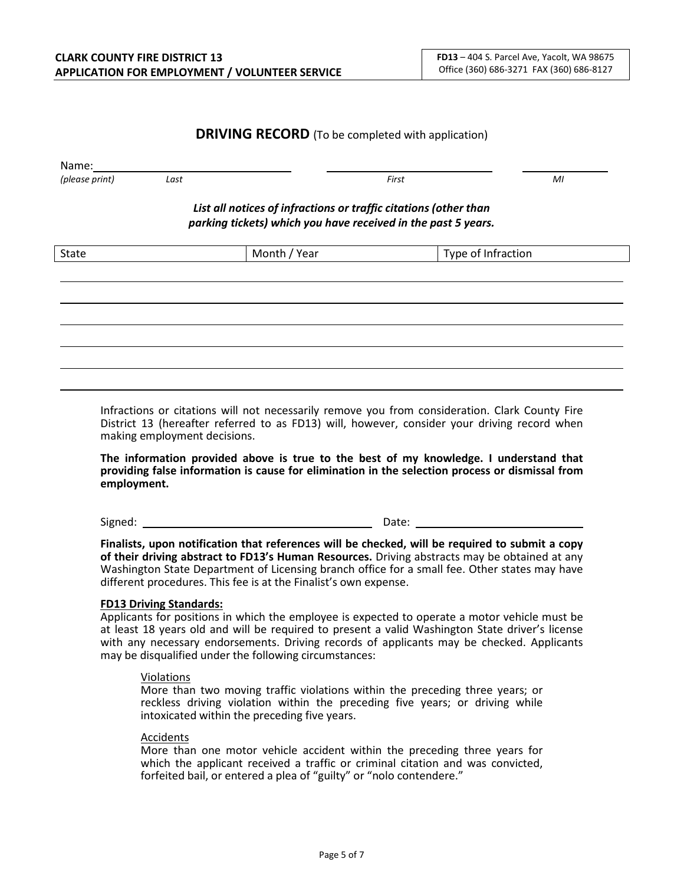### **DRIVING RECORD** (To be completed with application)

| Name:<br>(please print) | Last |                                                                                                                                   | First              | MI |
|-------------------------|------|-----------------------------------------------------------------------------------------------------------------------------------|--------------------|----|
|                         |      | List all notices of infractions or traffic citations (other than<br>parking tickets) which you have received in the past 5 years. |                    |    |
| <b>State</b>            |      | Month / Year                                                                                                                      | Type of Infraction |    |
|                         |      |                                                                                                                                   |                    |    |
|                         |      |                                                                                                                                   |                    |    |
|                         |      |                                                                                                                                   |                    |    |
|                         |      |                                                                                                                                   |                    |    |
|                         |      |                                                                                                                                   |                    |    |

Infractions or citations will not necessarily remove you from consideration. Clark County Fire District 13 (hereafter referred to as FD13) will, however, consider your driving record when making employment decisions.

**The information provided above is true to the best of my knowledge. I understand that providing false information is cause for elimination in the selection process or dismissal from employment.**

Signed: Date:

**Finalists, upon notification that references will be checked, will be required to submit a copy of their driving abstract to FD13's Human Resources.** Driving abstracts may be obtained at any Washington State Department of Licensing branch office for a small fee. Other states may have different procedures. This fee is at the Finalist's own expense.

#### **FD13 Driving Standards:**

Applicants for positions in which the employee is expected to operate a motor vehicle must be at least 18 years old and will be required to present a valid Washington State driver's license with any necessary endorsements. Driving records of applicants may be checked. Applicants may be disqualified under the following circumstances:

#### Violations

More than two moving traffic violations within the preceding three years; or reckless driving violation within the preceding five years; or driving while intoxicated within the preceding five years.

#### Accidents

More than one motor vehicle accident within the preceding three years for which the applicant received a traffic or criminal citation and was convicted, forfeited bail, or entered a plea of "guilty" or "nolo contendere."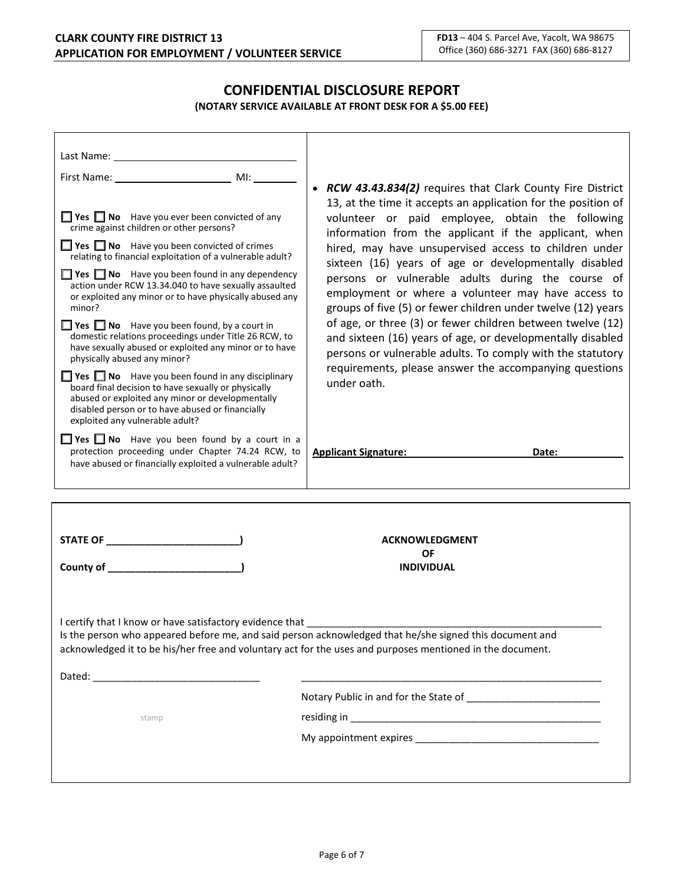## **CONFIDENTIAL DISCLOSURE REPORT (NOTARY SERVICE AVAILABLE AT FRONT DESK FOR A \$5.00 FEE)**

| • RCW 43.43.834(2) requires that Clark County Fire District<br>13, at the time it accepts an application for the position of                                                                                                                                                                                                                                                                                                                                                                                                                                                                                                                                                                                                          |  |  |  |  |
|---------------------------------------------------------------------------------------------------------------------------------------------------------------------------------------------------------------------------------------------------------------------------------------------------------------------------------------------------------------------------------------------------------------------------------------------------------------------------------------------------------------------------------------------------------------------------------------------------------------------------------------------------------------------------------------------------------------------------------------|--|--|--|--|
| volunteer or paid employee, obtain the following<br>information from the applicant if the applicant, when<br>hired, may have unsupervised access to children under<br>sixteen (16) years of age or developmentally disabled<br>persons or vulnerable adults during the course of<br>employment or where a volunteer may have access to<br>groups of five (5) or fewer children under twelve (12) years<br>of age, or three (3) or fewer children between twelve (12)<br>and sixteen (16) years of age, or developmentally disabled<br>persons or vulnerable adults. To comply with the statutory<br>requirements, please answer the accompanying questions<br>under oath.<br>$\Box$ Yes $\Box$ No Have you been found by a court in a |  |  |  |  |
| <b>Applicant Signature:</b><br>Date:                                                                                                                                                                                                                                                                                                                                                                                                                                                                                                                                                                                                                                                                                                  |  |  |  |  |
|                                                                                                                                                                                                                                                                                                                                                                                                                                                                                                                                                                                                                                                                                                                                       |  |  |  |  |
|                                                                                                                                                                                                                                                                                                                                                                                                                                                                                                                                                                                                                                                                                                                                       |  |  |  |  |
|                                                                                                                                                                                                                                                                                                                                                                                                                                                                                                                                                                                                                                                                                                                                       |  |  |  |  |
| <b>ACKNOWLEDGMENT</b>                                                                                                                                                                                                                                                                                                                                                                                                                                                                                                                                                                                                                                                                                                                 |  |  |  |  |
| ΟF                                                                                                                                                                                                                                                                                                                                                                                                                                                                                                                                                                                                                                                                                                                                    |  |  |  |  |
| <b>INDIVIDUAL</b>                                                                                                                                                                                                                                                                                                                                                                                                                                                                                                                                                                                                                                                                                                                     |  |  |  |  |
| I certify that I know or have satisfactory evidence that<br>Is the person who appeared before me, and said person acknowledged that he/she signed this document and<br>acknowledged it to be his/her free and voluntary act for the uses and purposes mentioned in the document.                                                                                                                                                                                                                                                                                                                                                                                                                                                      |  |  |  |  |
|                                                                                                                                                                                                                                                                                                                                                                                                                                                                                                                                                                                                                                                                                                                                       |  |  |  |  |
|                                                                                                                                                                                                                                                                                                                                                                                                                                                                                                                                                                                                                                                                                                                                       |  |  |  |  |
|                                                                                                                                                                                                                                                                                                                                                                                                                                                                                                                                                                                                                                                                                                                                       |  |  |  |  |
|                                                                                                                                                                                                                                                                                                                                                                                                                                                                                                                                                                                                                                                                                                                                       |  |  |  |  |
|                                                                                                                                                                                                                                                                                                                                                                                                                                                                                                                                                                                                                                                                                                                                       |  |  |  |  |